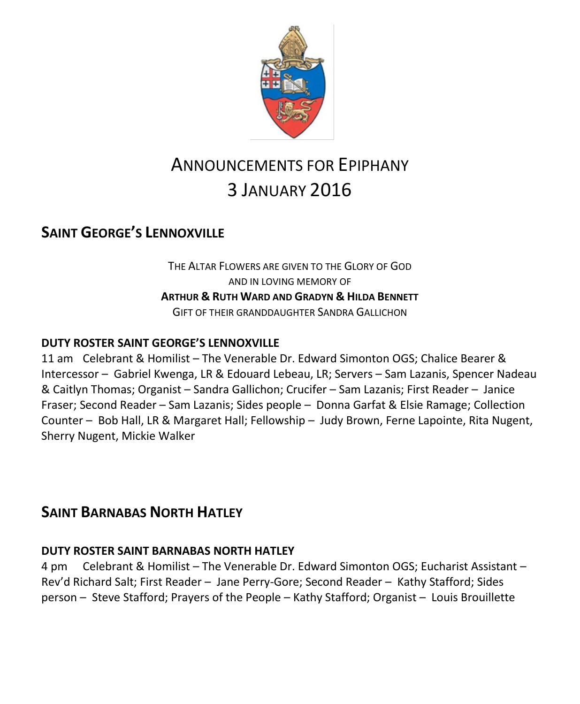

# ANNOUNCEMENTS FOR EPIPHANY 3 JANUARY 2016

## **SAINT GEORGE'S LENNOXVILLE**

THE ALTAR FLOWERS ARE GIVEN TO THE GLORY OF GOD AND IN LOVING MEMORY OF **ARTHUR & RUTH WARD AND GRADYN & HILDA BENNETT** GIFT OF THEIR GRANDDAUGHTER SANDRA GALLICHON

### **DUTY ROSTER SAINT GEORGE'S LENNOXVILLE**

11 am Celebrant & Homilist – The Venerable Dr. Edward Simonton OGS; Chalice Bearer & Intercessor – Gabriel Kwenga, LR & Edouard Lebeau, LR; Servers – Sam Lazanis, Spencer Nadeau & Caitlyn Thomas; Organist – Sandra Gallichon; Crucifer – Sam Lazanis; First Reader – Janice Fraser; Second Reader – Sam Lazanis; Sides people – Donna Garfat & Elsie Ramage; Collection Counter – Bob Hall, LR & Margaret Hall; Fellowship – Judy Brown, Ferne Lapointe, Rita Nugent, Sherry Nugent, Mickie Walker

### **SAINT BARNABAS NORTH HATLEY**

### **DUTY ROSTER SAINT BARNABAS NORTH HATLEY**

4 pm Celebrant & Homilist – The Venerable Dr. Edward Simonton OGS; Eucharist Assistant – Rev'd Richard Salt; First Reader – Jane Perry-Gore; Second Reader – Kathy Stafford; Sides person – Steve Stafford; Prayers of the People – Kathy Stafford; Organist – Louis Brouillette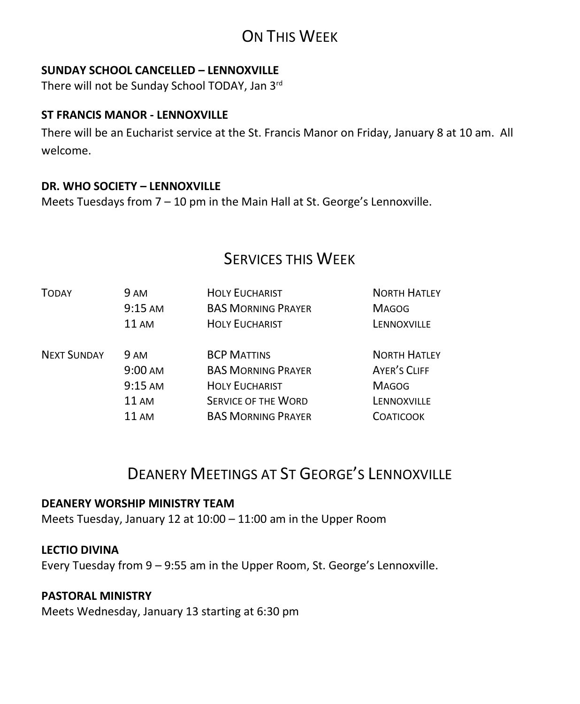# ON THIS WEEK

### **SUNDAY SCHOOL CANCELLED – LENNOXVILLE**

There will not be Sunday School TODAY, Jan 3rd

#### **ST FRANCIS MANOR - LENNOXVILLE**

There will be an Eucharist service at the St. Francis Manor on Friday, January 8 at 10 am. All welcome.

### **DR. WHO SOCIETY – LENNOXVILLE**

Meets Tuesdays from 7 – 10 pm in the Main Hall at St. George's Lennoxville.

## SERVICES THIS WEEK

| TODAY              | 9 AM<br>$9:15 \text{ AM}$<br>$11 \text{ AM}$ | <b>HOLY EUCHARIST</b><br><b>BAS MORNING PRAYER</b><br><b>HOLY EUCHARIST</b>      | <b>NORTH HATLEY</b><br><b>MAGOG</b><br>LENNOXVILLE |
|--------------------|----------------------------------------------|----------------------------------------------------------------------------------|----------------------------------------------------|
| <b>NEXT SUNDAY</b> | <b>9 AM</b><br>$9:00 \text{ AM}$             | <b>BCP MATTINS</b><br><b>BAS MORNING PRAYER</b>                                  | <b>NORTH HATLEY</b><br>AYER'S CLIFF                |
|                    | $9:15$ AM<br>11 AM<br>11 AM                  | <b>HOLY EUCHARIST</b><br><b>SERVICE OF THE WORD</b><br><b>BAS MORNING PRAYER</b> | <b>MAGOG</b><br>LENNOXVILLE<br><b>COATICOOK</b>    |
|                    |                                              |                                                                                  |                                                    |

# DEANERY MEETINGS AT ST GEORGE'S LENNOXVILLE

#### **DEANERY WORSHIP MINISTRY TEAM**

Meets Tuesday, January 12 at 10:00 – 11:00 am in the Upper Room

#### **LECTIO DIVINA**

Every Tuesday from 9 – 9:55 am in the Upper Room, St. George's Lennoxville.

#### **PASTORAL MINISTRY**

Meets Wednesday, January 13 starting at 6:30 pm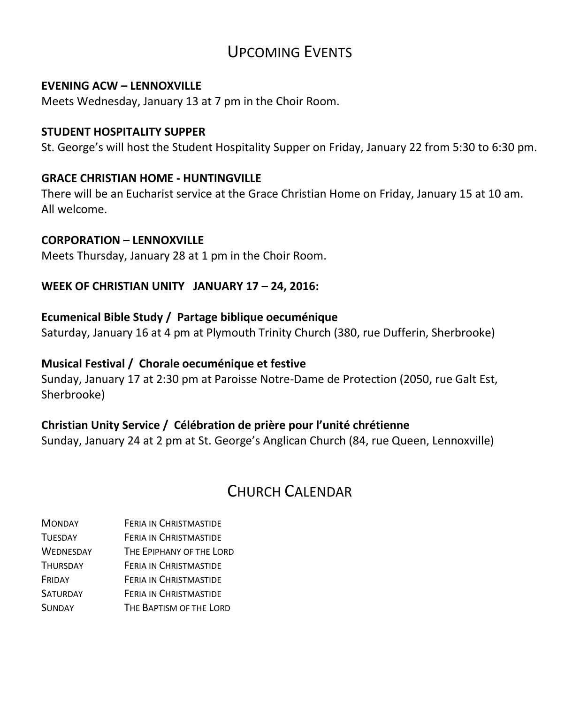# UPCOMING EVENTS

#### **EVENING ACW – LENNOXVILLE**

Meets Wednesday, January 13 at 7 pm in the Choir Room.

#### **STUDENT HOSPITALITY SUPPER**

St. George's will host the Student Hospitality Supper on Friday, January 22 from 5:30 to 6:30 pm.

#### **GRACE CHRISTIAN HOME - HUNTINGVILLE**

There will be an Eucharist service at the Grace Christian Home on Friday, January 15 at 10 am. All welcome.

#### **CORPORATION – LENNOXVILLE**

Meets Thursday, January 28 at 1 pm in the Choir Room.

#### **WEEK OF CHRISTIAN UNITY JANUARY 17 - 24, 2016:**

#### **Ecumenical Bible Study / Partage biblique oecuménique**

Saturday, January 16 at 4 pm at Plymouth Trinity Church (380, rue Dufferin, Sherbrooke)

### **Musical Festival / Chorale oecuménique et festive**

Sunday, January 17 at 2:30 pm at Paroisse Notre-Dame de Protection (2050, rue Galt Est, Sherbrooke)

#### **Christian Unity Service / Célébration de prière pour l'unité chrétienne**

Sunday, January 24 at 2 pm at St. George's Anglican Church (84, rue Queen, Lennoxville)

# CHURCH CALENDAR

MONDAY FERIA IN CHRISTMASTIDE TUESDAY FERIA IN CHRISTMASTIDE WEDNESDAY THE EPIPHANY OF THE LORD THURSDAY FERIA IN CHRISTMASTIDE FRIDAY FERIA IN CHRISTMASTIDE SATURDAY **FERIA IN CHRISTMASTIDE** SUNDAY THE BAPTISM OF THE LORD